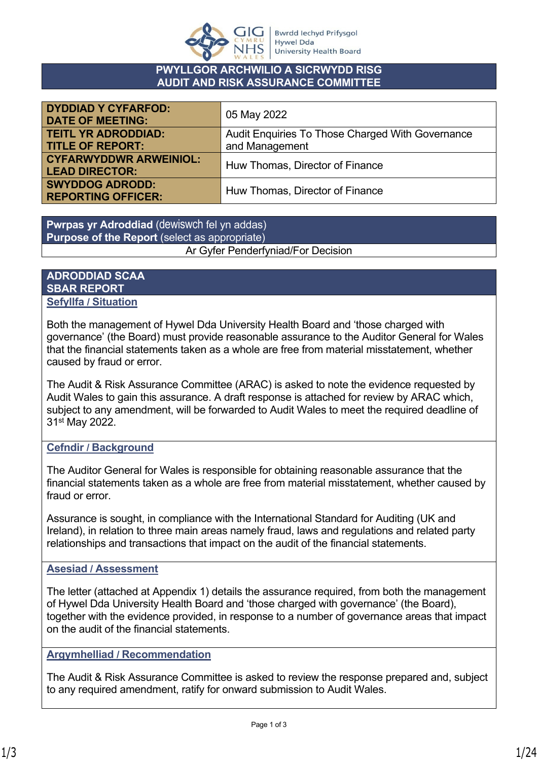

#### **PWYLLGOR ARCHWILIO A SICRWYDD RISG AUDIT AND RISK ASSURANCE COMMITTEE**

| <b>DYDDIAD Y CYFARFOD:</b><br><b>DATE OF MEETING:</b>  | 05 May 2022                                      |
|--------------------------------------------------------|--------------------------------------------------|
| <b>TEITL YR ADRODDIAD:</b>                             | Audit Enquiries To Those Charged With Governance |
| <b>TITLE OF REPORT:</b>                                | and Management                                   |
| <b>CYFARWYDDWR ARWEINIOL:</b><br><b>LEAD DIRECTOR:</b> | Huw Thomas, Director of Finance                  |
| <b>SWYDDOG ADRODD:</b><br><b>REPORTING OFFICER:</b>    | Huw Thomas, Director of Finance                  |

**Pwrpas yr Adroddiad** (dewiswch fel yn addas) **Purpose of the Report** (select as appropriate) Ar Gyfer Penderfyniad/For Decision

#### **ADRODDIAD SCAA SBAR REPORT Sefyllfa / Situation**

Both the management of Hywel Dda University Health Board and 'those charged with governance' (the Board) must provide reasonable assurance to the Auditor General for Wales that the financial statements taken as a whole are free from material misstatement, whether caused by fraud or error.

The Audit & Risk Assurance Committee (ARAC) is asked to note the evidence requested by Audit Wales to gain this assurance. A draft response is attached for review by ARAC which, subject to any amendment, will be forwarded to Audit Wales to meet the required deadline of 31st May 2022.

## **Cefndir / Background**

The Auditor General for Wales is responsible for obtaining reasonable assurance that the financial statements taken as a whole are free from material misstatement, whether caused by fraud or error.

Assurance is sought, in compliance with the International Standard for Auditing (UK and Ireland), in relation to three main areas namely fraud, laws and regulations and related party relationships and transactions that impact on the audit of the financial statements.

# **Asesiad / Assessment**

The letter (attached at Appendix 1) details the assurance required, from both the management of Hywel Dda University Health Board and 'those charged with governance' (the Board), together with the evidence provided, in response to a number of governance areas that impact on the audit of the financial statements.

**Argymhelliad / Recommendation**

The Audit & Risk Assurance Committee is asked to review the response prepared and, subject to any required amendment, ratify for onward submission to Audit Wales.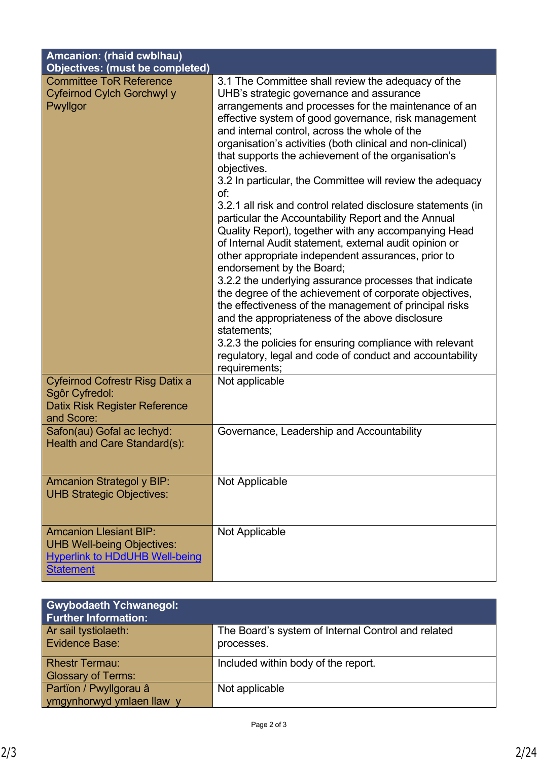| Amcanion: (rhaid cwblhau)<br><b>Objectives: (must be completed)</b>  |                                                                |  |
|----------------------------------------------------------------------|----------------------------------------------------------------|--|
| <b>Committee ToR Reference</b>                                       | 3.1 The Committee shall review the adequacy of the             |  |
| Cyfeirnod Cylch Gorchwyl y                                           | UHB's strategic governance and assurance                       |  |
| Pwyllgor                                                             | arrangements and processes for the maintenance of an           |  |
|                                                                      | effective system of good governance, risk management           |  |
|                                                                      | and internal control, across the whole of the                  |  |
|                                                                      | organisation's activities (both clinical and non-clinical)     |  |
|                                                                      | that supports the achievement of the organisation's            |  |
|                                                                      | objectives.                                                    |  |
|                                                                      | 3.2 In particular, the Committee will review the adequacy      |  |
|                                                                      | of:                                                            |  |
|                                                                      | 3.2.1 all risk and control related disclosure statements (in   |  |
|                                                                      | particular the Accountability Report and the Annual            |  |
|                                                                      | Quality Report), together with any accompanying Head           |  |
|                                                                      | of Internal Audit statement, external audit opinion or         |  |
|                                                                      | other appropriate independent assurances, prior to             |  |
|                                                                      | endorsement by the Board;                                      |  |
|                                                                      | 3.2.2 the underlying assurance processes that indicate         |  |
|                                                                      | the degree of the achievement of corporate objectives,         |  |
|                                                                      | the effectiveness of the management of principal risks         |  |
|                                                                      | and the appropriateness of the above disclosure<br>statements; |  |
|                                                                      | 3.2.3 the policies for ensuring compliance with relevant       |  |
|                                                                      | regulatory, legal and code of conduct and accountability       |  |
|                                                                      | requirements;                                                  |  |
| <b>Cyfeirnod Cofrestr Risg Datix a</b>                               | Not applicable                                                 |  |
| Sgôr Cyfredol:                                                       |                                                                |  |
| Datix Risk Register Reference                                        |                                                                |  |
| and Score:                                                           |                                                                |  |
| Safon(au) Gofal ac lechyd:                                           | Governance, Leadership and Accountability                      |  |
| Health and Care Standard(s):                                         |                                                                |  |
|                                                                      |                                                                |  |
|                                                                      | Not Applicable                                                 |  |
| <b>Amcanion Strategol y BIP:</b><br><b>UHB Strategic Objectives:</b> |                                                                |  |
|                                                                      |                                                                |  |
|                                                                      |                                                                |  |
| <b>Amcanion Llesiant BIP:</b>                                        | Not Applicable                                                 |  |
| <b>UHB Well-being Objectives:</b>                                    |                                                                |  |
| <b>Hyperlink to HDdUHB Well-being</b>                                |                                                                |  |
| <b>Statement</b>                                                     |                                                                |  |

| <b>Gwybodaeth Ychwanegol:</b><br><b>Further Information:</b> |                                                    |
|--------------------------------------------------------------|----------------------------------------------------|
| Ar sail tystiolaeth:                                         | The Board's system of Internal Control and related |
| <b>Evidence Base:</b>                                        | processes.                                         |
| <b>Rhestr Termau:</b>                                        | Included within body of the report.                |
| <b>Glossary of Terms:</b>                                    |                                                    |
| Partïon / Pwyllgorau â                                       | Not applicable                                     |
| ymgynhorwyd ymlaen llaw y                                    |                                                    |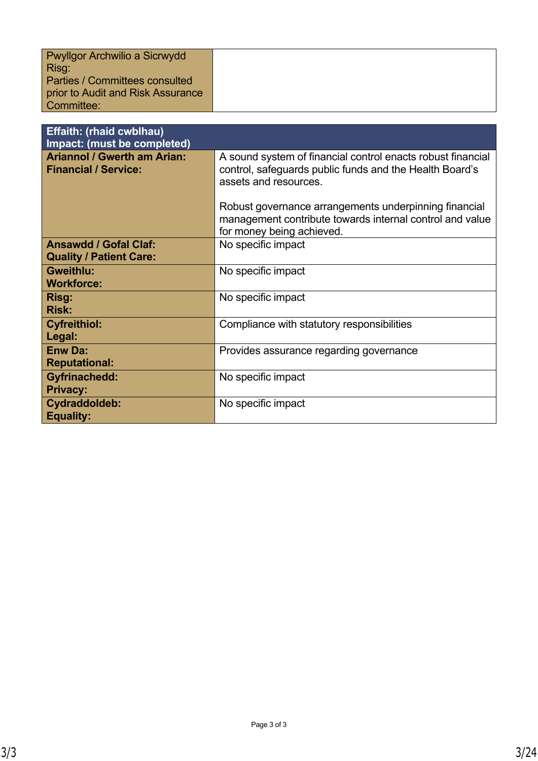| Pwyllgor Archwilio a Sicrwydd<br>Risg:<br><b>Parties / Committees consulted</b><br>prior to Audit and Risk Assurance<br>Committee: |                                                                                                                                                 |
|------------------------------------------------------------------------------------------------------------------------------------|-------------------------------------------------------------------------------------------------------------------------------------------------|
| <b>Effaith: (rhaid cwblhau)</b>                                                                                                    |                                                                                                                                                 |
| Impact: (must be completed)                                                                                                        |                                                                                                                                                 |
| <b>Ariannol / Gwerth am Arian:</b><br><b>Financial / Service:</b>                                                                  | A sound system of financial control enacts robust financial<br>control, safeguards public funds and the Health Board's<br>assets and resources. |
|                                                                                                                                    | Robust governance arrangements underpinning financial<br>management contribute towards internal control and value<br>for money being achieved.  |
| <b>Ansawdd / Gofal Claf:</b><br><b>Quality / Patient Care:</b>                                                                     | No specific impact                                                                                                                              |
| Gweithlu:<br><b>Workforce:</b>                                                                                                     | No specific impact                                                                                                                              |
| Risg:<br><b>Risk:</b>                                                                                                              | No specific impact                                                                                                                              |
| <b>Cyfreithiol:</b><br>Legal:                                                                                                      | Compliance with statutory responsibilities                                                                                                      |
| <b>Enw Da:</b><br><b>Reputational:</b>                                                                                             | Provides assurance regarding governance                                                                                                         |
| <b>Gyfrinachedd:</b><br><b>Privacy:</b>                                                                                            | No specific impact                                                                                                                              |
| <b>Cydraddoldeb:</b><br><b>Equality:</b>                                                                                           | No specific impact                                                                                                                              |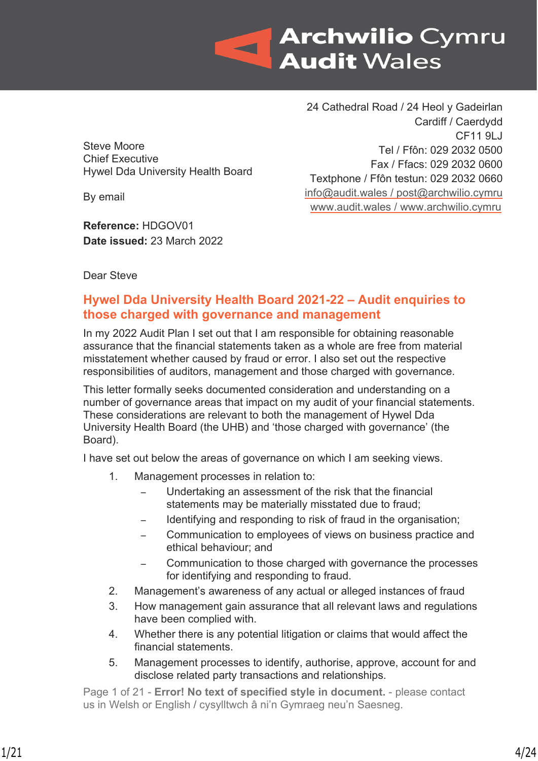# **Archwilio Cymru**  $\leftarrow$ **Audit Wales**

Steve Moore Chief Executive Hywel Dda University Health Board

By email

**Reference:** HDGOV01 **Date issued:** 23 March 2022

24 Cathedral Road / 24 Heol y Gadeirlan Cardiff / Caerdydd CF11 9LJ Tel / Ffôn: 029 2032 0500 Fax / Ffacs: 029 2032 0600 Textphone / Ffôn testun: 029 2032 0660 [info@audit.wales](mailto:info@audit.wales) / post@archwilio.cymru [www.audit.wales](http://www.audit.wales/) / [www.archwilio.cymru](http://www.archwilio.cymru/)

Dear Steve

# **Hywel Dda University Health Board 2021-22 – Audit enquiries to those charged with governance and management**

In my 2022 Audit Plan I set out that I am responsible for obtaining reasonable assurance that the financial statements taken as a whole are free from material misstatement whether caused by fraud or error. I also set out the respective responsibilities of auditors, management and those charged with governance.

This letter formally seeks documented consideration and understanding on a number of governance areas that impact on my audit of your financial statements. These considerations are relevant to both the management of Hywel Dda University Health Board (the UHB) and 'those charged with governance' (the Board).

I have set out below the areas of governance on which I am seeking views.

- 1. Management processes in relation to:
	- Undertaking an assessment of the risk that the financial statements may be materially misstated due to fraud;
	- ‒ Identifying and responding to risk of fraud in the organisation;
	- ‒ Communication to employees of views on business practice and ethical behaviour; and
	- ‒ Communication to those charged with governance the processes for identifying and responding to fraud.
- 2. Management's awareness of any actual or alleged instances of fraud
- 3. How management gain assurance that all relevant laws and regulations have been complied with.
- 4. Whether there is any potential litigation or claims that would affect the financial statements.
- 5. Management processes to identify, authorise, approve, account for and disclose related party transactions and relationships.

Page 1 of 21 - **Error! No text of specified style in document.** - please contact us in Welsh or English / cysylltwch â ni'n Gymraeg neu'n Saesneg.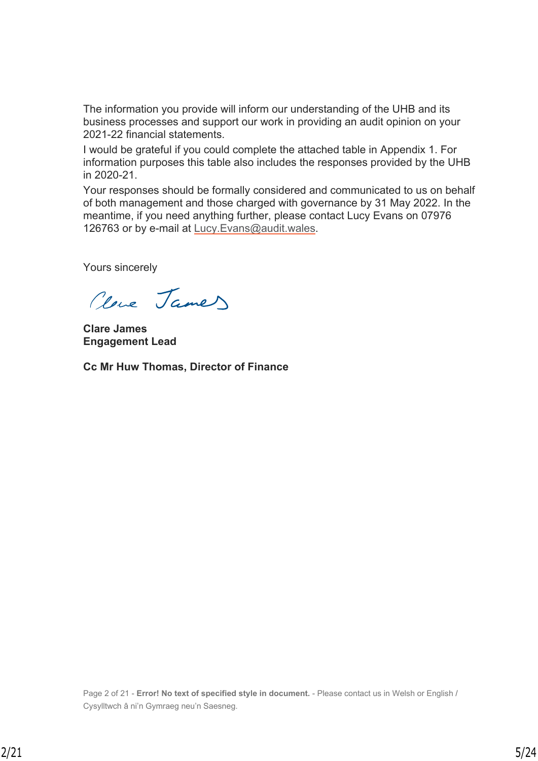The information you provide will inform our understanding of the UHB and its business processes and support our work in providing an audit opinion on your 2021-22 financial statements.

I would be grateful if you could complete the attached table in Appendix 1. For information purposes this table also includes the responses provided by the UHB in 2020-21.

Your responses should be formally considered and communicated to us on behalf of both management and those charged with governance by 31 May 2022. In the meantime, if you need anything further, please contact Lucy Evans on 07976 126763 or by e-mail at [Lucy.Evans@audit.wales](mailto:Lucy.Evans@audit.wales).

Yours sincerely

Cleve James

**Clare James Engagement Lead**

**Cc Mr Huw Thomas, Director of Finance**

Page 2 of 21 - **Error! No text of specified style in document.** - Please contact us in Welsh or English / Cysylltwch â ni'n Gymraeg neu'n Saesneg.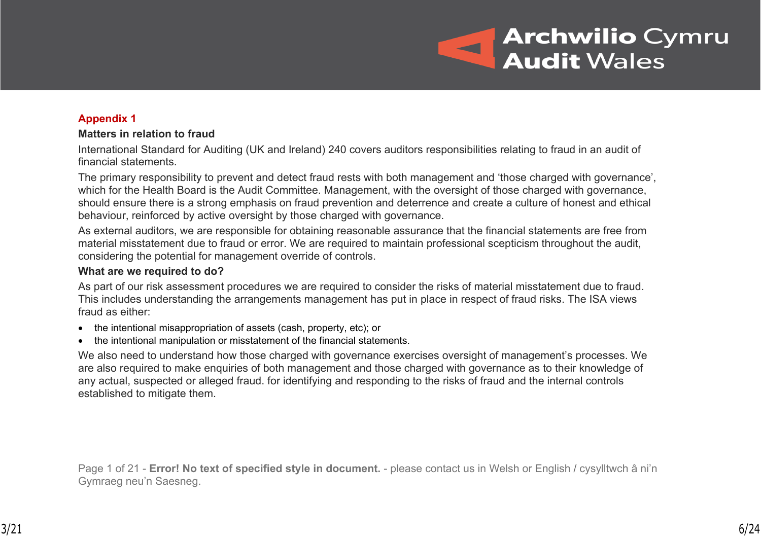

#### **Appendix 1**

#### **Matters in relation to fraud**

International Standard for Auditing (UK and Ireland) 240 covers auditors responsibilities relating to fraud in an audit of financial statements.

The primary responsibility to prevent and detect fraud rests with both management and 'those charged with governance', which for the Health Board is the Audit Committee. Management, with the oversight of those charged with governance, should ensure there is a strong emphasis on fraud prevention and deterrence and create a culture of honest and ethical behaviour, reinforced by active oversight by those charged with governance.

As external auditors, we are responsible for obtaining reasonable assurance that the financial statements are free from material misstatement due to fraud or error. We are required to maintain professional scepticism throughout the audit, considering the potential for management override of controls.

#### **What are we required to do?**

As part of our risk assessment procedures we are required to consider the risks of material misstatement due to fraud. This includes understanding the arrangements management has put in place in respect of fraud risks. The ISA views fraud as either:

- the intentional misappropriation of assets (cash, property, etc); or
- the intentional manipulation or misstatement of the financial statements.

We also need to understand how those charged with governance exercises oversight of management's processes. We are also required to make enquiries of both management and those charged with governance as to their knowledge of any actual, suspected or alleged fraud. for identifying and responding to the risks of fraud and the internal controls established to mitigate them.

Page 1 of 21 - **Error! No text of specified style in document.** - please contact us in Welsh or English / cysylltwch â ni'n Gymraeg neu'n Saesneg.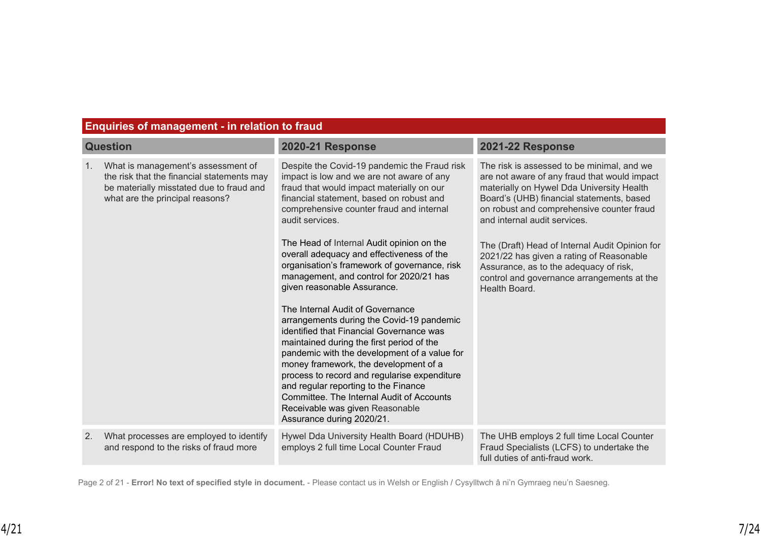# **Enquiries of management - in relation to fraud**

|    | <b>Question</b>                                                                                                                                                 | <b>2020-21 Response</b>                                                                                                                                                                                                                                                                                                                                                                                                                                                                                                                                                                                                                                                                                                                                                                                                                                                                                          | <b>2021-22 Response</b>                                                                                                                                                                                                                                                                                                                                                                                                                                                  |
|----|-----------------------------------------------------------------------------------------------------------------------------------------------------------------|------------------------------------------------------------------------------------------------------------------------------------------------------------------------------------------------------------------------------------------------------------------------------------------------------------------------------------------------------------------------------------------------------------------------------------------------------------------------------------------------------------------------------------------------------------------------------------------------------------------------------------------------------------------------------------------------------------------------------------------------------------------------------------------------------------------------------------------------------------------------------------------------------------------|--------------------------------------------------------------------------------------------------------------------------------------------------------------------------------------------------------------------------------------------------------------------------------------------------------------------------------------------------------------------------------------------------------------------------------------------------------------------------|
| 1. | What is management's assessment of<br>the risk that the financial statements may<br>be materially misstated due to fraud and<br>what are the principal reasons? | Despite the Covid-19 pandemic the Fraud risk<br>impact is low and we are not aware of any<br>fraud that would impact materially on our<br>financial statement, based on robust and<br>comprehensive counter fraud and internal<br>audit services.<br>The Head of Internal Audit opinion on the<br>overall adequacy and effectiveness of the<br>organisation's framework of governance, risk<br>management, and control for 2020/21 has<br>given reasonable Assurance.<br>The Internal Audit of Governance<br>arrangements during the Covid-19 pandemic<br>identified that Financial Governance was<br>maintained during the first period of the<br>pandemic with the development of a value for<br>money framework, the development of a<br>process to record and regularise expenditure<br>and regular reporting to the Finance<br>Committee. The Internal Audit of Accounts<br>Receivable was given Reasonable | The risk is assessed to be minimal, and we<br>are not aware of any fraud that would impact<br>materially on Hywel Dda University Health<br>Board's (UHB) financial statements, based<br>on robust and comprehensive counter fraud<br>and internal audit services.<br>The (Draft) Head of Internal Audit Opinion for<br>2021/22 has given a rating of Reasonable<br>Assurance, as to the adequacy of risk,<br>control and governance arrangements at the<br>Health Board. |
|    |                                                                                                                                                                 | Assurance during 2020/21.                                                                                                                                                                                                                                                                                                                                                                                                                                                                                                                                                                                                                                                                                                                                                                                                                                                                                        |                                                                                                                                                                                                                                                                                                                                                                                                                                                                          |
| 2. | What processes are employed to identify<br>and respond to the risks of fraud more                                                                               | Hywel Dda University Health Board (HDUHB)<br>employs 2 full time Local Counter Fraud                                                                                                                                                                                                                                                                                                                                                                                                                                                                                                                                                                                                                                                                                                                                                                                                                             | The UHB employs 2 full time Local Counter<br>Fraud Specialists (LCFS) to undertake the<br>full duties of anti-fraud work.                                                                                                                                                                                                                                                                                                                                                |

Page 2 of 21 - **Error! No text of specified style in document.** - Please contact us in Welsh or English / Cysylltwch â ni'n Gymraeg neu'n Saesneg.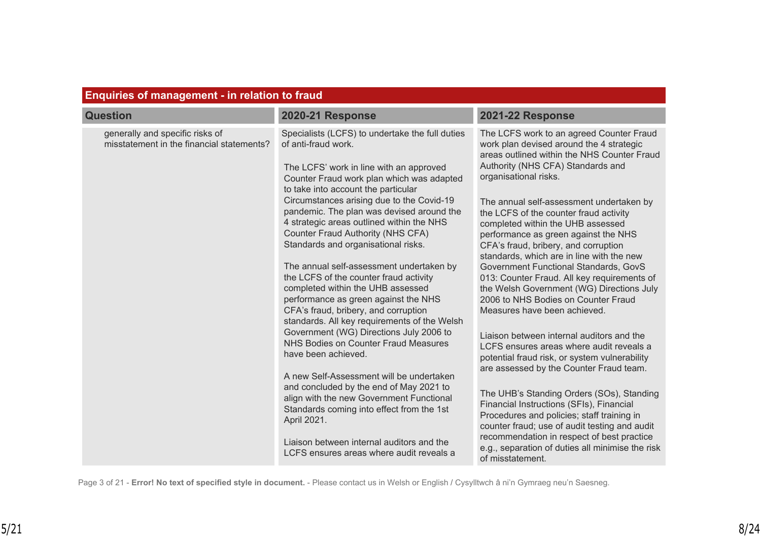| <b>Enquiries of management - in relation to fraud</b>                        |                                                                                                                                                                                                                                                                                                                                                                                                                                                                                                                                                                                                                                                                                                                                                                                                                                                                                                                                                                                                                                                                                       |                                                                                                                                                                                                                                                                                                                                                                                                                                                                                                                                                                                                                                                                                                                                                                                                                                                                                                                                                                                                                                                                                                                                                                          |
|------------------------------------------------------------------------------|---------------------------------------------------------------------------------------------------------------------------------------------------------------------------------------------------------------------------------------------------------------------------------------------------------------------------------------------------------------------------------------------------------------------------------------------------------------------------------------------------------------------------------------------------------------------------------------------------------------------------------------------------------------------------------------------------------------------------------------------------------------------------------------------------------------------------------------------------------------------------------------------------------------------------------------------------------------------------------------------------------------------------------------------------------------------------------------|--------------------------------------------------------------------------------------------------------------------------------------------------------------------------------------------------------------------------------------------------------------------------------------------------------------------------------------------------------------------------------------------------------------------------------------------------------------------------------------------------------------------------------------------------------------------------------------------------------------------------------------------------------------------------------------------------------------------------------------------------------------------------------------------------------------------------------------------------------------------------------------------------------------------------------------------------------------------------------------------------------------------------------------------------------------------------------------------------------------------------------------------------------------------------|
| <b>Question</b>                                                              | <b>2020-21 Response</b>                                                                                                                                                                                                                                                                                                                                                                                                                                                                                                                                                                                                                                                                                                                                                                                                                                                                                                                                                                                                                                                               | <b>2021-22 Response</b>                                                                                                                                                                                                                                                                                                                                                                                                                                                                                                                                                                                                                                                                                                                                                                                                                                                                                                                                                                                                                                                                                                                                                  |
| generally and specific risks of<br>misstatement in the financial statements? | Specialists (LCFS) to undertake the full duties<br>of anti-fraud work.<br>The LCFS' work in line with an approved<br>Counter Fraud work plan which was adapted<br>to take into account the particular<br>Circumstances arising due to the Covid-19<br>pandemic. The plan was devised around the<br>4 strategic areas outlined within the NHS<br>Counter Fraud Authority (NHS CFA)<br>Standards and organisational risks.<br>The annual self-assessment undertaken by<br>the LCFS of the counter fraud activity<br>completed within the UHB assessed<br>performance as green against the NHS<br>CFA's fraud, bribery, and corruption<br>standards. All key requirements of the Welsh<br>Government (WG) Directions July 2006 to<br>NHS Bodies on Counter Fraud Measures<br>have been achieved.<br>A new Self-Assessment will be undertaken<br>and concluded by the end of May 2021 to<br>align with the new Government Functional<br>Standards coming into effect from the 1st<br>April 2021.<br>Liaison between internal auditors and the<br>LCFS ensures areas where audit reveals a | The LCFS work to an agreed Counter Fraud<br>work plan devised around the 4 strategic<br>areas outlined within the NHS Counter Fraud<br>Authority (NHS CFA) Standards and<br>organisational risks.<br>The annual self-assessment undertaken by<br>the LCFS of the counter fraud activity<br>completed within the UHB assessed<br>performance as green against the NHS<br>CFA's fraud, bribery, and corruption<br>standards, which are in line with the new<br>Government Functional Standards, GovS<br>013: Counter Fraud. All key requirements of<br>the Welsh Government (WG) Directions July<br>2006 to NHS Bodies on Counter Fraud<br>Measures have been achieved.<br>Liaison between internal auditors and the<br>LCFS ensures areas where audit reveals a<br>potential fraud risk, or system vulnerability<br>are assessed by the Counter Fraud team.<br>The UHB's Standing Orders (SOs), Standing<br>Financial Instructions (SFIs), Financial<br>Procedures and policies; staff training in<br>counter fraud; use of audit testing and audit<br>recommendation in respect of best practice<br>e.g., separation of duties all minimise the risk<br>of misstatement. |

Page 3 of 21 - **Error! No text of specified style in document.** - Please contact us in Welsh or English / Cysylltwch â ni'n Gymraeg neu'n Saesneg.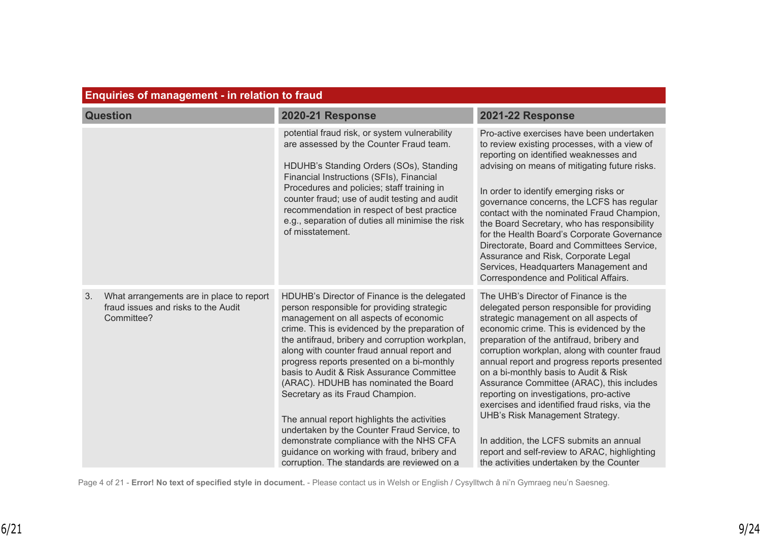| <b>Enquiries of management - in relation to fraud</b>                                               |                                                                                                                                                                                                                                                                                                                                                                                                                                                                                                                                                                                                                                                                                                       |                                                                                                                                                                                                                                                                                                                                                                                                                                                                                                                                                                                                                                                                                    |
|-----------------------------------------------------------------------------------------------------|-------------------------------------------------------------------------------------------------------------------------------------------------------------------------------------------------------------------------------------------------------------------------------------------------------------------------------------------------------------------------------------------------------------------------------------------------------------------------------------------------------------------------------------------------------------------------------------------------------------------------------------------------------------------------------------------------------|------------------------------------------------------------------------------------------------------------------------------------------------------------------------------------------------------------------------------------------------------------------------------------------------------------------------------------------------------------------------------------------------------------------------------------------------------------------------------------------------------------------------------------------------------------------------------------------------------------------------------------------------------------------------------------|
| <b>Question</b>                                                                                     | 2020-21 Response                                                                                                                                                                                                                                                                                                                                                                                                                                                                                                                                                                                                                                                                                      | <b>2021-22 Response</b>                                                                                                                                                                                                                                                                                                                                                                                                                                                                                                                                                                                                                                                            |
|                                                                                                     | potential fraud risk, or system vulnerability<br>are assessed by the Counter Fraud team.<br>HDUHB's Standing Orders (SOs), Standing<br>Financial Instructions (SFIs), Financial<br>Procedures and policies; staff training in<br>counter fraud; use of audit testing and audit<br>recommendation in respect of best practice<br>e.g., separation of duties all minimise the risk<br>of misstatement.                                                                                                                                                                                                                                                                                                  | Pro-active exercises have been undertaken<br>to review existing processes, with a view of<br>reporting on identified weaknesses and<br>advising on means of mitigating future risks.<br>In order to identify emerging risks or<br>governance concerns, the LCFS has regular<br>contact with the nominated Fraud Champion,<br>the Board Secretary, who has responsibility<br>for the Health Board's Corporate Governance<br>Directorate, Board and Committees Service,<br>Assurance and Risk, Corporate Legal<br>Services, Headquarters Management and<br>Correspondence and Political Affairs.                                                                                     |
| 3.<br>What arrangements are in place to report<br>fraud issues and risks to the Audit<br>Committee? | HDUHB's Director of Finance is the delegated<br>person responsible for providing strategic<br>management on all aspects of economic<br>crime. This is evidenced by the preparation of<br>the antifraud, bribery and corruption workplan,<br>along with counter fraud annual report and<br>progress reports presented on a bi-monthly<br>basis to Audit & Risk Assurance Committee<br>(ARAC). HDUHB has nominated the Board<br>Secretary as its Fraud Champion.<br>The annual report highlights the activities<br>undertaken by the Counter Fraud Service, to<br>demonstrate compliance with the NHS CFA<br>guidance on working with fraud, bribery and<br>corruption. The standards are reviewed on a | The UHB's Director of Finance is the<br>delegated person responsible for providing<br>strategic management on all aspects of<br>economic crime. This is evidenced by the<br>preparation of the antifraud, bribery and<br>corruption workplan, along with counter fraud<br>annual report and progress reports presented<br>on a bi-monthly basis to Audit & Risk<br>Assurance Committee (ARAC), this includes<br>reporting on investigations, pro-active<br>exercises and identified fraud risks, via the<br>UHB's Risk Management Strategy.<br>In addition, the LCFS submits an annual<br>report and self-review to ARAC, highlighting<br>the activities undertaken by the Counter |

Page 4 of 21 - **Error! No text of specified style in document.** - Please contact us in Welsh or English / Cysylltwch â ni'n Gymraeg neu'n Saesneg.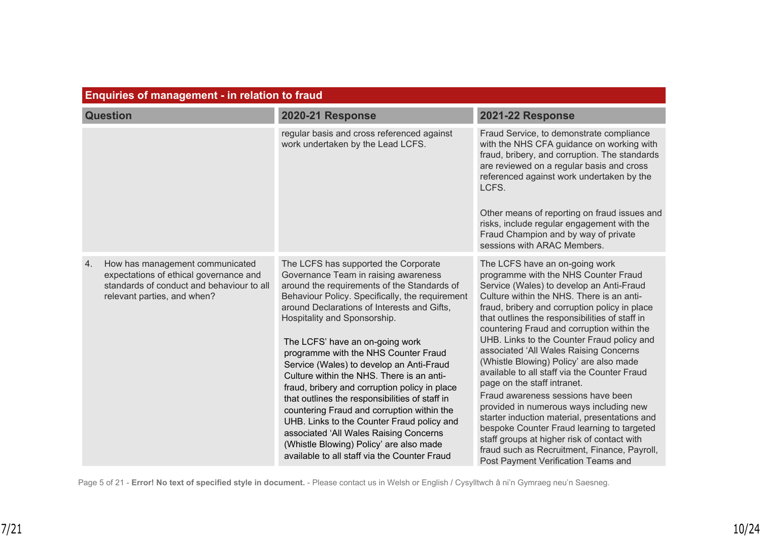| <b>Enquiries of management - in relation to fraud</b> |                                                                                                                                                       |                                                                                                                                                                                                                                                                                                                                                                                                                                                                                                                                                                                                                                                                                                                                                                       |                                                                                                                                                                                                                                                                                                                                                                                                                                                                                                                                                                                                                                                                                                                                                                                                                                                          |
|-------------------------------------------------------|-------------------------------------------------------------------------------------------------------------------------------------------------------|-----------------------------------------------------------------------------------------------------------------------------------------------------------------------------------------------------------------------------------------------------------------------------------------------------------------------------------------------------------------------------------------------------------------------------------------------------------------------------------------------------------------------------------------------------------------------------------------------------------------------------------------------------------------------------------------------------------------------------------------------------------------------|----------------------------------------------------------------------------------------------------------------------------------------------------------------------------------------------------------------------------------------------------------------------------------------------------------------------------------------------------------------------------------------------------------------------------------------------------------------------------------------------------------------------------------------------------------------------------------------------------------------------------------------------------------------------------------------------------------------------------------------------------------------------------------------------------------------------------------------------------------|
|                                                       | <b>Question</b>                                                                                                                                       | 2020-21 Response                                                                                                                                                                                                                                                                                                                                                                                                                                                                                                                                                                                                                                                                                                                                                      | <b>2021-22 Response</b>                                                                                                                                                                                                                                                                                                                                                                                                                                                                                                                                                                                                                                                                                                                                                                                                                                  |
|                                                       |                                                                                                                                                       | regular basis and cross referenced against<br>work undertaken by the Lead LCFS.                                                                                                                                                                                                                                                                                                                                                                                                                                                                                                                                                                                                                                                                                       | Fraud Service, to demonstrate compliance<br>with the NHS CFA guidance on working with<br>fraud, bribery, and corruption. The standards<br>are reviewed on a regular basis and cross<br>referenced against work undertaken by the<br>LCFS.<br>Other means of reporting on fraud issues and<br>risks, include regular engagement with the<br>Fraud Champion and by way of private<br>sessions with ARAC Members.                                                                                                                                                                                                                                                                                                                                                                                                                                           |
| 4.                                                    | How has management communicated<br>expectations of ethical governance and<br>standards of conduct and behaviour to all<br>relevant parties, and when? | The LCFS has supported the Corporate<br>Governance Team in raising awareness<br>around the requirements of the Standards of<br>Behaviour Policy. Specifically, the requirement<br>around Declarations of Interests and Gifts,<br>Hospitality and Sponsorship.<br>The LCFS' have an on-going work<br>programme with the NHS Counter Fraud<br>Service (Wales) to develop an Anti-Fraud<br>Culture within the NHS. There is an anti-<br>fraud, bribery and corruption policy in place<br>that outlines the responsibilities of staff in<br>countering Fraud and corruption within the<br>UHB. Links to the Counter Fraud policy and<br>associated 'All Wales Raising Concerns<br>(Whistle Blowing) Policy' are also made<br>available to all staff via the Counter Fraud | The LCFS have an on-going work<br>programme with the NHS Counter Fraud<br>Service (Wales) to develop an Anti-Fraud<br>Culture within the NHS. There is an anti-<br>fraud, bribery and corruption policy in place<br>that outlines the responsibilities of staff in<br>countering Fraud and corruption within the<br>UHB. Links to the Counter Fraud policy and<br>associated 'All Wales Raising Concerns<br>(Whistle Blowing) Policy' are also made<br>available to all staff via the Counter Fraud<br>page on the staff intranet.<br>Fraud awareness sessions have been<br>provided in numerous ways including new<br>starter induction material, presentations and<br>bespoke Counter Fraud learning to targeted<br>staff groups at higher risk of contact with<br>fraud such as Recruitment, Finance, Payroll,<br>Post Payment Verification Teams and |

#### Page 5 of 21 - **Error! No text of specified style in document.** - Please contact us in Welsh or English / Cysylltwch â ni'n Gymraeg neu'n Saesneg.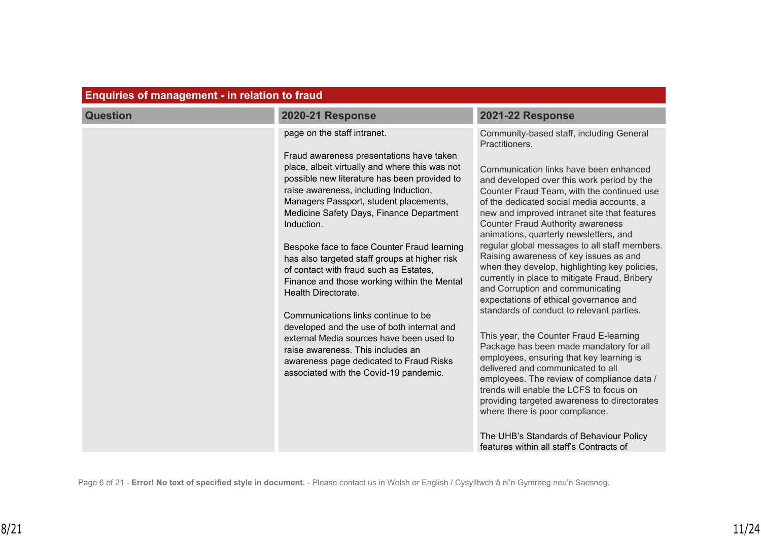| <b>Enquiries of management - in relation to fraud</b> |                                                                                                                                                                                                                                                                                                                                                                                                                                                                                                                                                                                                                                                                                                                                                                                                   |                                                                                                                                                                                                                                                                                                                                                                                                                                                                                                                                                                                                                                                                                                                                                                                                                                                                                                                                                                                                                                                                                                                                                       |
|-------------------------------------------------------|---------------------------------------------------------------------------------------------------------------------------------------------------------------------------------------------------------------------------------------------------------------------------------------------------------------------------------------------------------------------------------------------------------------------------------------------------------------------------------------------------------------------------------------------------------------------------------------------------------------------------------------------------------------------------------------------------------------------------------------------------------------------------------------------------|-------------------------------------------------------------------------------------------------------------------------------------------------------------------------------------------------------------------------------------------------------------------------------------------------------------------------------------------------------------------------------------------------------------------------------------------------------------------------------------------------------------------------------------------------------------------------------------------------------------------------------------------------------------------------------------------------------------------------------------------------------------------------------------------------------------------------------------------------------------------------------------------------------------------------------------------------------------------------------------------------------------------------------------------------------------------------------------------------------------------------------------------------------|
| <b>Question</b>                                       | 2020-21 Response                                                                                                                                                                                                                                                                                                                                                                                                                                                                                                                                                                                                                                                                                                                                                                                  | <b>2021-22 Response</b>                                                                                                                                                                                                                                                                                                                                                                                                                                                                                                                                                                                                                                                                                                                                                                                                                                                                                                                                                                                                                                                                                                                               |
|                                                       | page on the staff intranet.<br>Fraud awareness presentations have taken<br>place, albeit virtually and where this was not<br>possible new literature has been provided to<br>raise awareness, including Induction,<br>Managers Passport, student placements,<br>Medicine Safety Days, Finance Department<br>Induction.<br>Bespoke face to face Counter Fraud learning<br>has also targeted staff groups at higher risk<br>of contact with fraud such as Estates,<br>Finance and those working within the Mental<br>Health Directorate.<br>Communications links continue to be<br>developed and the use of both internal and<br>external Media sources have been used to<br>raise awareness. This includes an<br>awareness page dedicated to Fraud Risks<br>associated with the Covid-19 pandemic. | Community-based staff, including General<br>Practitioners.<br>Communication links have been enhanced<br>and developed over this work period by the<br>Counter Fraud Team, with the continued use<br>of the dedicated social media accounts, a<br>new and improved intranet site that features<br><b>Counter Fraud Authority awareness</b><br>animations, quarterly newsletters, and<br>regular global messages to all staff members.<br>Raising awareness of key issues as and<br>when they develop, highlighting key policies,<br>currently in place to mitigate Fraud, Bribery<br>and Corruption and communicating<br>expectations of ethical governance and<br>standards of conduct to relevant parties.<br>This year, the Counter Fraud E-learning<br>Package has been made mandatory for all<br>employees, ensuring that key learning is<br>delivered and communicated to all<br>employees. The review of compliance data /<br>trends will enable the LCFS to focus on<br>providing targeted awareness to directorates<br>where there is poor compliance.<br>The UHB's Standards of Behaviour Policy<br>features within all staff's Contracts of |

Page 6 of 21 - **Error! No text of specified style in document.** - Please contact us in Welsh or English / Cysylltwch â ni'n Gymraeg neu'n Saesneg.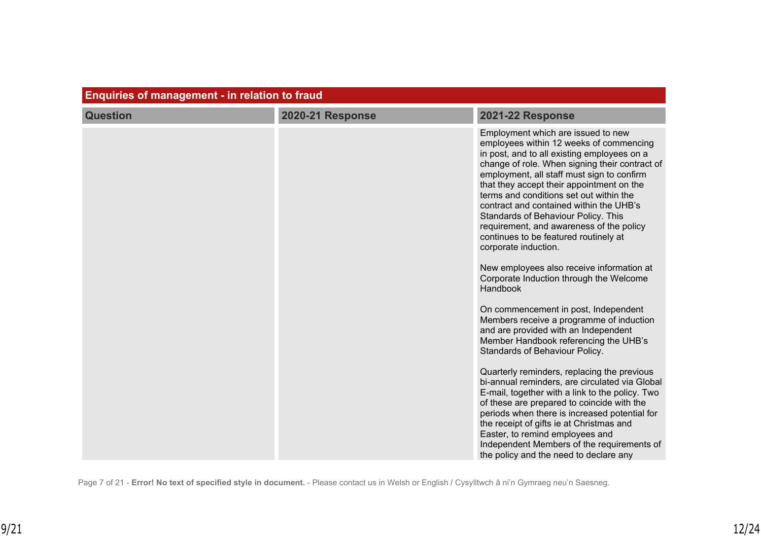| <b>Enquiries of management - in relation to fraud</b> |                         |                                                                                                                                                                                                                                                                                                                                                                                                                                                                                                                                                                                                                                                                                                                                                                                                                                                                                                                                                                                                                                  |
|-------------------------------------------------------|-------------------------|----------------------------------------------------------------------------------------------------------------------------------------------------------------------------------------------------------------------------------------------------------------------------------------------------------------------------------------------------------------------------------------------------------------------------------------------------------------------------------------------------------------------------------------------------------------------------------------------------------------------------------------------------------------------------------------------------------------------------------------------------------------------------------------------------------------------------------------------------------------------------------------------------------------------------------------------------------------------------------------------------------------------------------|
| <b>Question</b>                                       | <b>2020-21 Response</b> | <b>2021-22 Response</b>                                                                                                                                                                                                                                                                                                                                                                                                                                                                                                                                                                                                                                                                                                                                                                                                                                                                                                                                                                                                          |
|                                                       |                         | Employment which are issued to new<br>employees within 12 weeks of commencing<br>in post, and to all existing employees on a<br>change of role. When signing their contract of<br>employment, all staff must sign to confirm<br>that they accept their appointment on the<br>terms and conditions set out within the<br>contract and contained within the UHB's<br>Standards of Behaviour Policy. This<br>requirement, and awareness of the policy<br>continues to be featured routinely at<br>corporate induction.<br>New employees also receive information at<br>Corporate Induction through the Welcome<br>Handbook<br>On commencement in post, Independent<br>Members receive a programme of induction<br>and are provided with an Independent<br>Member Handbook referencing the UHB's<br>Standards of Behaviour Policy.<br>Quarterly reminders, replacing the previous<br>bi-annual reminders, are circulated via Global<br>E-mail, together with a link to the policy. Two<br>of these are prepared to coincide with the |
|                                                       |                         | periods when there is increased potential for<br>the receipt of gifts ie at Christmas and<br>Easter, to remind employees and<br>Independent Members of the requirements of<br>the policy and the need to declare any                                                                                                                                                                                                                                                                                                                                                                                                                                                                                                                                                                                                                                                                                                                                                                                                             |

Page 7 of 21 - **Error! No text of specified style in document.** - Please contact us in Welsh or English / Cysylltwch â ni'n Gymraeg neu'n Saesneg.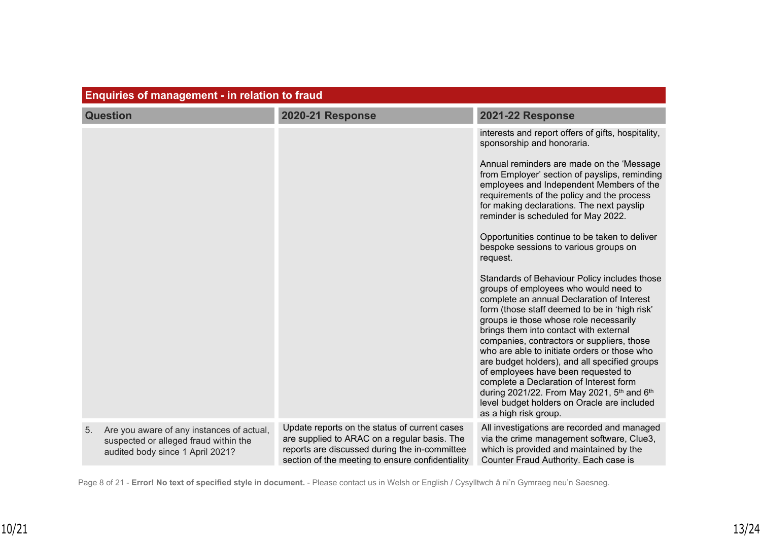| <b>Enquiries of management - in relation to fraud</b> |                                                                                                                              |                                                                                                                                                                                                    |                                                                                                                                                                                                                                                                                                                                                                                                                                                                                                                                                                                                                                                                                                                                                                                                                                                                                                                                                                                                                                                                                                                               |
|-------------------------------------------------------|------------------------------------------------------------------------------------------------------------------------------|----------------------------------------------------------------------------------------------------------------------------------------------------------------------------------------------------|-------------------------------------------------------------------------------------------------------------------------------------------------------------------------------------------------------------------------------------------------------------------------------------------------------------------------------------------------------------------------------------------------------------------------------------------------------------------------------------------------------------------------------------------------------------------------------------------------------------------------------------------------------------------------------------------------------------------------------------------------------------------------------------------------------------------------------------------------------------------------------------------------------------------------------------------------------------------------------------------------------------------------------------------------------------------------------------------------------------------------------|
|                                                       | <b>Question</b>                                                                                                              | 2020-21 Response                                                                                                                                                                                   | <b>2021-22 Response</b>                                                                                                                                                                                                                                                                                                                                                                                                                                                                                                                                                                                                                                                                                                                                                                                                                                                                                                                                                                                                                                                                                                       |
|                                                       |                                                                                                                              |                                                                                                                                                                                                    | interests and report offers of gifts, hospitality,<br>sponsorship and honoraria.<br>Annual reminders are made on the 'Message<br>from Employer' section of payslips, reminding<br>employees and Independent Members of the<br>requirements of the policy and the process<br>for making declarations. The next payslip<br>reminder is scheduled for May 2022.<br>Opportunities continue to be taken to deliver<br>bespoke sessions to various groups on<br>request.<br>Standards of Behaviour Policy includes those<br>groups of employees who would need to<br>complete an annual Declaration of Interest<br>form (those staff deemed to be in 'high risk'<br>groups ie those whose role necessarily<br>brings them into contact with external<br>companies, contractors or suppliers, those<br>who are able to initiate orders or those who<br>are budget holders), and all specified groups<br>of employees have been requested to<br>complete a Declaration of Interest form<br>during 2021/22. From May 2021, 5 <sup>th</sup> and 6 <sup>th</sup><br>level budget holders on Oracle are included<br>as a high risk group. |
|                                                       | Are you aware of any instances of actual,<br>5.<br>suspected or alleged fraud within the<br>audited body since 1 April 2021? | Update reports on the status of current cases<br>are supplied to ARAC on a regular basis. The<br>reports are discussed during the in-committee<br>section of the meeting to ensure confidentiality | All investigations are recorded and managed<br>via the crime management software, Clue3,<br>which is provided and maintained by the<br>Counter Fraud Authority. Each case is                                                                                                                                                                                                                                                                                                                                                                                                                                                                                                                                                                                                                                                                                                                                                                                                                                                                                                                                                  |

Page 8 of 21 - **Error! No text of specified style in document.** - Please contact us in Welsh or English / Cysylltwch â ni'n Gymraeg neu'n Saesneg.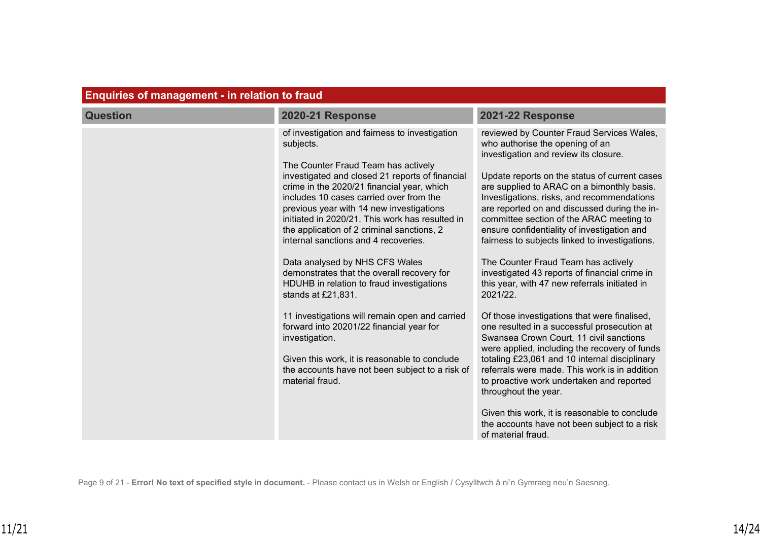| <b>Enquiries of management - in relation to fraud</b> |                                                                                                                                                                                                                                                                                                                                                                                                                                                                                                                                                                                                                                                                                                                                                                                                                               |                                                                                                                                                                                                                                                                                                                                                                                                                                                                                                                                                                                                                                                                                                                                                                                                                                                                                                                                                                                                                                                                                                               |  |
|-------------------------------------------------------|-------------------------------------------------------------------------------------------------------------------------------------------------------------------------------------------------------------------------------------------------------------------------------------------------------------------------------------------------------------------------------------------------------------------------------------------------------------------------------------------------------------------------------------------------------------------------------------------------------------------------------------------------------------------------------------------------------------------------------------------------------------------------------------------------------------------------------|---------------------------------------------------------------------------------------------------------------------------------------------------------------------------------------------------------------------------------------------------------------------------------------------------------------------------------------------------------------------------------------------------------------------------------------------------------------------------------------------------------------------------------------------------------------------------------------------------------------------------------------------------------------------------------------------------------------------------------------------------------------------------------------------------------------------------------------------------------------------------------------------------------------------------------------------------------------------------------------------------------------------------------------------------------------------------------------------------------------|--|
| <b>Question</b>                                       | 2020-21 Response                                                                                                                                                                                                                                                                                                                                                                                                                                                                                                                                                                                                                                                                                                                                                                                                              | <b>2021-22 Response</b>                                                                                                                                                                                                                                                                                                                                                                                                                                                                                                                                                                                                                                                                                                                                                                                                                                                                                                                                                                                                                                                                                       |  |
|                                                       | of investigation and fairness to investigation<br>subjects.<br>The Counter Fraud Team has actively<br>investigated and closed 21 reports of financial<br>crime in the 2020/21 financial year, which<br>includes 10 cases carried over from the<br>previous year with 14 new investigations<br>initiated in 2020/21. This work has resulted in<br>the application of 2 criminal sanctions, 2<br>internal sanctions and 4 recoveries.<br>Data analysed by NHS CFS Wales<br>demonstrates that the overall recovery for<br>HDUHB in relation to fraud investigations<br>stands at £21,831.<br>11 investigations will remain open and carried<br>forward into 20201/22 financial year for<br>investigation.<br>Given this work, it is reasonable to conclude<br>the accounts have not been subject to a risk of<br>material fraud. | reviewed by Counter Fraud Services Wales,<br>who authorise the opening of an<br>investigation and review its closure.<br>Update reports on the status of current cases<br>are supplied to ARAC on a bimonthly basis.<br>Investigations, risks, and recommendations<br>are reported on and discussed during the in-<br>committee section of the ARAC meeting to<br>ensure confidentiality of investigation and<br>fairness to subjects linked to investigations.<br>The Counter Fraud Team has actively<br>investigated 43 reports of financial crime in<br>this year, with 47 new referrals initiated in<br>2021/22.<br>Of those investigations that were finalised,<br>one resulted in a successful prosecution at<br>Swansea Crown Court, 11 civil sanctions<br>were applied, including the recovery of funds<br>totaling £23,061 and 10 internal disciplinary<br>referrals were made. This work is in addition<br>to proactive work undertaken and reported<br>throughout the year.<br>Given this work, it is reasonable to conclude<br>the accounts have not been subject to a risk<br>of material fraud. |  |

Page 9 of 21 - **Error! No text of specified style in document.** - Please contact us in Welsh or English / Cysylltwch â ni'n Gymraeg neu'n Saesneg.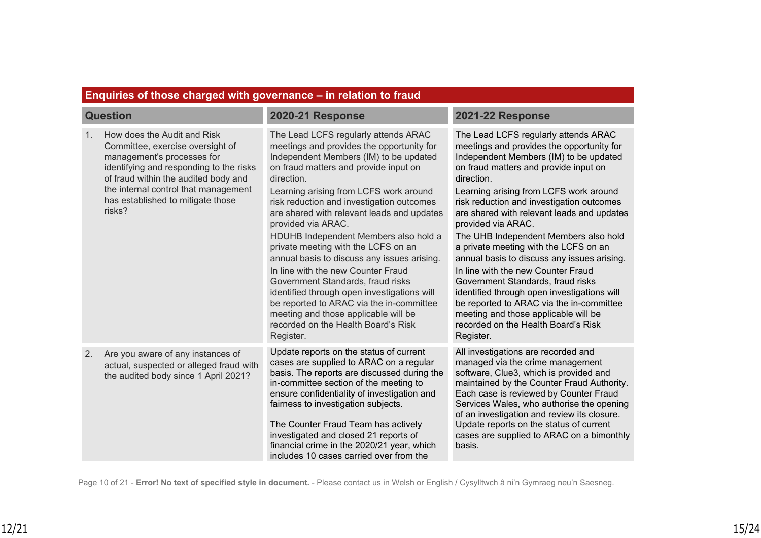|                                                                                                                                                                                                                                          | Enquiries of those charged with governance - in relation to fraud                                                    |                                                                                                                                                                                                                                                                                                                                                                                                                                                                                                                                                                                                                                                                                                                                                |                                                                                                                                                                                                                                                                                                                                                                                                                                                                                                                                                                                                                                                                                                                                                  |  |  |
|------------------------------------------------------------------------------------------------------------------------------------------------------------------------------------------------------------------------------------------|----------------------------------------------------------------------------------------------------------------------|------------------------------------------------------------------------------------------------------------------------------------------------------------------------------------------------------------------------------------------------------------------------------------------------------------------------------------------------------------------------------------------------------------------------------------------------------------------------------------------------------------------------------------------------------------------------------------------------------------------------------------------------------------------------------------------------------------------------------------------------|--------------------------------------------------------------------------------------------------------------------------------------------------------------------------------------------------------------------------------------------------------------------------------------------------------------------------------------------------------------------------------------------------------------------------------------------------------------------------------------------------------------------------------------------------------------------------------------------------------------------------------------------------------------------------------------------------------------------------------------------------|--|--|
| <b>Question</b>                                                                                                                                                                                                                          |                                                                                                                      | <b>2020-21 Response</b>                                                                                                                                                                                                                                                                                                                                                                                                                                                                                                                                                                                                                                                                                                                        | <b>2021-22 Response</b>                                                                                                                                                                                                                                                                                                                                                                                                                                                                                                                                                                                                                                                                                                                          |  |  |
| Committee, exercise oversight of<br>management's processes for<br>identifying and responding to the risks<br>of fraud within the audited body and<br>the internal control that management<br>has established to mitigate those<br>risks? |                                                                                                                      | The Lead LCFS regularly attends ARAC<br>meetings and provides the opportunity for<br>Independent Members (IM) to be updated<br>on fraud matters and provide input on<br>direction.<br>Learning arising from LCFS work around<br>risk reduction and investigation outcomes<br>are shared with relevant leads and updates<br>provided via ARAC.<br>HDUHB Independent Members also hold a<br>private meeting with the LCFS on an<br>annual basis to discuss any issues arising.<br>In line with the new Counter Fraud<br>Government Standards, fraud risks<br>identified through open investigations will<br>be reported to ARAC via the in-committee<br>meeting and those applicable will be<br>recorded on the Health Board's Risk<br>Register. | The Lead LCFS regularly attends ARAC<br>meetings and provides the opportunity for<br>Independent Members (IM) to be updated<br>on fraud matters and provide input on<br>direction.<br>Learning arising from LCFS work around<br>risk reduction and investigation outcomes<br>are shared with relevant leads and updates<br>provided via ARAC.<br>The UHB Independent Members also hold<br>a private meeting with the LCFS on an<br>annual basis to discuss any issues arising.<br>In line with the new Counter Fraud<br>Government Standards, fraud risks<br>identified through open investigations will<br>be reported to ARAC via the in-committee<br>meeting and those applicable will be<br>recorded on the Health Board's Risk<br>Register. |  |  |
| 2.                                                                                                                                                                                                                                       | Are you aware of any instances of<br>actual, suspected or alleged fraud with<br>the audited body since 1 April 2021? | Update reports on the status of current<br>cases are supplied to ARAC on a regular<br>basis. The reports are discussed during the<br>in-committee section of the meeting to<br>ensure confidentiality of investigation and<br>fairness to investigation subjects.<br>The Counter Fraud Team has actively<br>investigated and closed 21 reports of<br>financial crime in the 2020/21 year, which<br>includes 10 cases carried over from the                                                                                                                                                                                                                                                                                                     | All investigations are recorded and<br>managed via the crime management<br>software, Clue3, which is provided and<br>maintained by the Counter Fraud Authority.<br>Each case is reviewed by Counter Fraud<br>Services Wales, who authorise the opening<br>of an investigation and review its closure.<br>Update reports on the status of current<br>cases are supplied to ARAC on a bimonthly<br>basis.                                                                                                                                                                                                                                                                                                                                          |  |  |

#### Page 10 of 21 - **Error! No text of specified style in document.** - Please contact us in Welsh or English / Cysylltwch â ni'n Gymraeg neu'n Saesneg.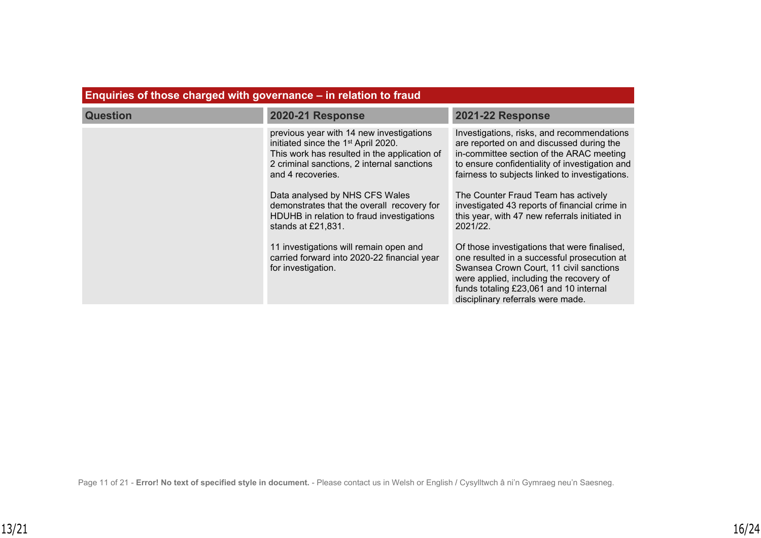| <b>Question</b> | <b>2020-21 Response</b>                                                                                                                                                                                                                                                                                                                                           | <b>2021-22 Response</b>                                                                                                                                                                                                                                                                                                                                                                     |
|-----------------|-------------------------------------------------------------------------------------------------------------------------------------------------------------------------------------------------------------------------------------------------------------------------------------------------------------------------------------------------------------------|---------------------------------------------------------------------------------------------------------------------------------------------------------------------------------------------------------------------------------------------------------------------------------------------------------------------------------------------------------------------------------------------|
|                 | previous year with 14 new investigations<br>initiated since the 1 <sup>st</sup> April 2020.<br>This work has resulted in the application of<br>2 criminal sanctions, 2 internal sanctions<br>and 4 recoveries.<br>Data analysed by NHS CFS Wales<br>demonstrates that the overall recovery for<br>HDUHB in relation to fraud investigations<br>stands at £21,831. | Investigations, risks, and recommendations<br>are reported on and discussed during the<br>in-committee section of the ARAC meeting<br>to ensure confidentiality of investigation and<br>fairness to subjects linked to investigations.<br>The Counter Fraud Team has actively<br>investigated 43 reports of financial crime in<br>this year, with 47 new referrals initiated in<br>2021/22. |
|                 | 11 investigations will remain open and<br>carried forward into 2020-22 financial year<br>for investigation.                                                                                                                                                                                                                                                       | Of those investigations that were finalised,<br>one resulted in a successful prosecution at<br>Swansea Crown Court, 11 civil sanctions<br>were applied, including the recovery of<br>funds totaling £23,061 and 10 internal<br>disciplinary referrals were made.                                                                                                                            |

# **Enquiries of those charged with governance – in relation to fraud**

Page 11 of 21 - **Error! No text of specified style in document.** - Please contact us in Welsh or English / Cysylltwch â ni'n Gymraeg neu'n Saesneg.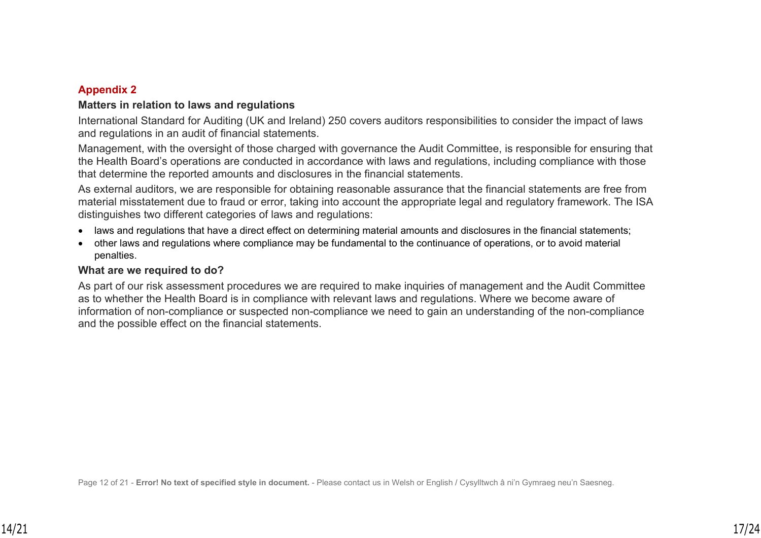### **Appendix 2**

#### **Matters in relation to laws and regulations**

International Standard for Auditing (UK and Ireland) 250 covers auditors responsibilities to consider the impact of laws and regulations in an audit of financial statements.

Management, with the oversight of those charged with governance the Audit Committee, is responsible for ensuring that the Health Board's operations are conducted in accordance with laws and regulations, including compliance with those that determine the reported amounts and disclosures in the financial statements.

As external auditors, we are responsible for obtaining reasonable assurance that the financial statements are free from material misstatement due to fraud or error, taking into account the appropriate legal and regulatory framework. The ISA distinguishes two different categories of laws and regulations:

- laws and regulations that have a direct effect on determining material amounts and disclosures in the financial statements;
- other laws and regulations where compliance may be fundamental to the continuance of operations, or to avoid material penalties.

#### **What are we required to do?**

As part of our risk assessment procedures we are required to make inquiries of management and the Audit Committee as to whether the Health Board is in compliance with relevant laws and regulations. Where we become aware of information of non-compliance or suspected non-compliance we need to gain an understanding of the non-compliance and the possible effect on the financial statements.

Page 12 of 21 - **Error! No text of specified style in document.** - Please contact us in Welsh or English / Cysylltwch â ni'n Gymraeg neu'n Saesneg.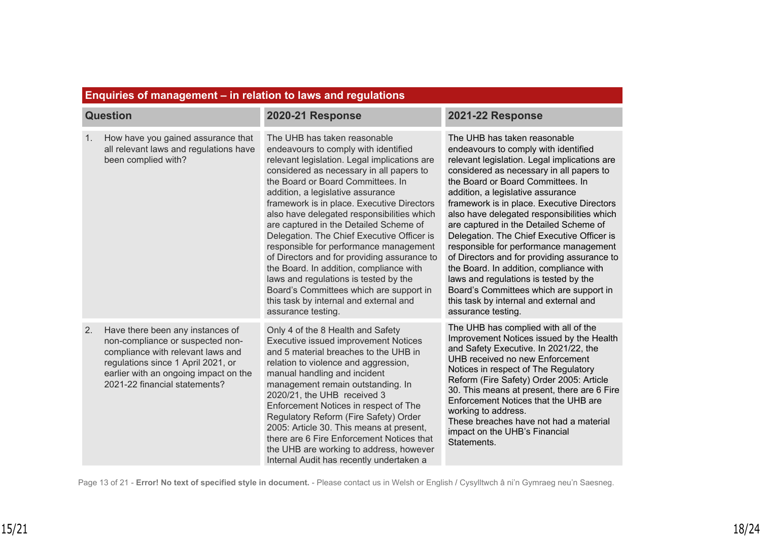| <b>Question</b> |                                                                                                                                                                                                                           | 2020-21 Response                                                                                                                                                                                                                                                                                                                                                                                                                                                                                                                                                                                                                                                                                                       | 2021-22 Response                                                                                                                                                                                                                                                                                                                                                                                                                                                                                                                                                                                                                                                                                                       |  |  |
|-----------------|---------------------------------------------------------------------------------------------------------------------------------------------------------------------------------------------------------------------------|------------------------------------------------------------------------------------------------------------------------------------------------------------------------------------------------------------------------------------------------------------------------------------------------------------------------------------------------------------------------------------------------------------------------------------------------------------------------------------------------------------------------------------------------------------------------------------------------------------------------------------------------------------------------------------------------------------------------|------------------------------------------------------------------------------------------------------------------------------------------------------------------------------------------------------------------------------------------------------------------------------------------------------------------------------------------------------------------------------------------------------------------------------------------------------------------------------------------------------------------------------------------------------------------------------------------------------------------------------------------------------------------------------------------------------------------------|--|--|
| 1.              | How have you gained assurance that<br>all relevant laws and regulations have<br>been complied with?                                                                                                                       | The UHB has taken reasonable<br>endeavours to comply with identified<br>relevant legislation. Legal implications are<br>considered as necessary in all papers to<br>the Board or Board Committees. In<br>addition, a legislative assurance<br>framework is in place. Executive Directors<br>also have delegated responsibilities which<br>are captured in the Detailed Scheme of<br>Delegation. The Chief Executive Officer is<br>responsible for performance management<br>of Directors and for providing assurance to<br>the Board. In addition, compliance with<br>laws and regulations is tested by the<br>Board's Committees which are support in<br>this task by internal and external and<br>assurance testing. | The UHB has taken reasonable<br>endeavours to comply with identified<br>relevant legislation. Legal implications are<br>considered as necessary in all papers to<br>the Board or Board Committees. In<br>addition, a legislative assurance<br>framework is in place. Executive Directors<br>also have delegated responsibilities which<br>are captured in the Detailed Scheme of<br>Delegation. The Chief Executive Officer is<br>responsible for performance management<br>of Directors and for providing assurance to<br>the Board. In addition, compliance with<br>laws and regulations is tested by the<br>Board's Committees which are support in<br>this task by internal and external and<br>assurance testing. |  |  |
| 2.              | Have there been any instances of<br>non-compliance or suspected non-<br>compliance with relevant laws and<br>regulations since 1 April 2021, or<br>earlier with an ongoing impact on the<br>2021-22 financial statements? | Only 4 of the 8 Health and Safety<br><b>Executive issued improvement Notices</b><br>and 5 material breaches to the UHB in<br>relation to violence and aggression,<br>manual handling and incident<br>management remain outstanding. In<br>2020/21, the UHB received 3<br>Enforcement Notices in respect of The<br>Regulatory Reform (Fire Safety) Order<br>2005: Article 30. This means at present,<br>there are 6 Fire Enforcement Notices that<br>the UHB are working to address, however<br>Internal Audit has recently undertaken a                                                                                                                                                                                | The UHB has complied with all of the<br>Improvement Notices issued by the Health<br>and Safety Executive. In 2021/22, the<br>UHB received no new Enforcement<br>Notices in respect of The Regulatory<br>Reform (Fire Safety) Order 2005: Article<br>30. This means at present, there are 6 Fire<br>Enforcement Notices that the UHB are<br>working to address.<br>These breaches have not had a material<br>impact on the UHB's Financial<br>Statements.                                                                                                                                                                                                                                                               |  |  |

## **Enquiries of management – in relation to laws and regulations**

Page 13 of 21 - **Error! No text of specified style in document.** - Please contact us in Welsh or English / Cysylltwch â ni'n Gymraeg neu'n Saesneg.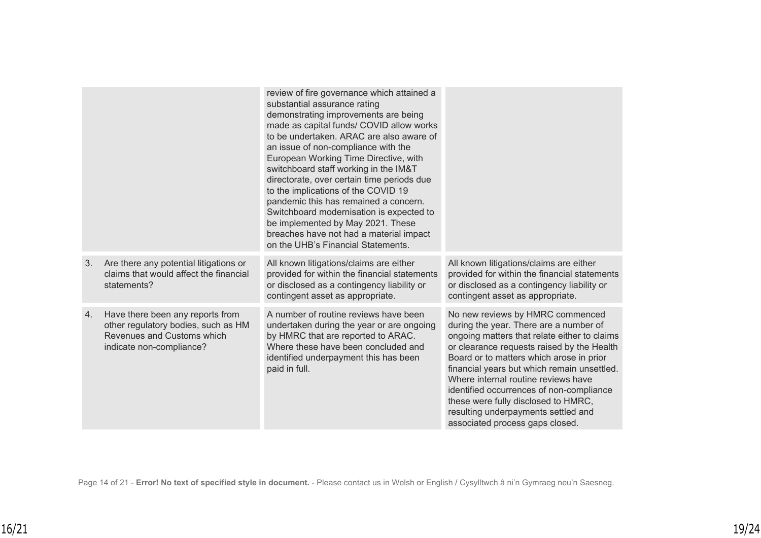|    |                                                                                                                                   | review of fire governance which attained a<br>substantial assurance rating<br>demonstrating improvements are being<br>made as capital funds/ COVID allow works<br>to be undertaken. ARAC are also aware of<br>an issue of non-compliance with the<br>European Working Time Directive, with<br>switchboard staff working in the IM&T<br>directorate, over certain time periods due<br>to the implications of the COVID 19<br>pandemic this has remained a concern.<br>Switchboard modernisation is expected to<br>be implemented by May 2021. These<br>breaches have not had a material impact<br>on the UHB's Financial Statements. |                                                                                                                                                                                                                                                                                                                                                                                                                                                                         |
|----|-----------------------------------------------------------------------------------------------------------------------------------|-------------------------------------------------------------------------------------------------------------------------------------------------------------------------------------------------------------------------------------------------------------------------------------------------------------------------------------------------------------------------------------------------------------------------------------------------------------------------------------------------------------------------------------------------------------------------------------------------------------------------------------|-------------------------------------------------------------------------------------------------------------------------------------------------------------------------------------------------------------------------------------------------------------------------------------------------------------------------------------------------------------------------------------------------------------------------------------------------------------------------|
| 3. | Are there any potential litigations or<br>claims that would affect the financial<br>statements?                                   | All known litigations/claims are either<br>provided for within the financial statements<br>or disclosed as a contingency liability or<br>contingent asset as appropriate.                                                                                                                                                                                                                                                                                                                                                                                                                                                           | All known litigations/claims are either<br>provided for within the financial statements<br>or disclosed as a contingency liability or<br>contingent asset as appropriate.                                                                                                                                                                                                                                                                                               |
| 4. | Have there been any reports from<br>other regulatory bodies, such as HM<br>Revenues and Customs which<br>indicate non-compliance? | A number of routine reviews have been<br>undertaken during the year or are ongoing<br>by HMRC that are reported to ARAC.<br>Where these have been concluded and<br>identified underpayment this has been<br>paid in full.                                                                                                                                                                                                                                                                                                                                                                                                           | No new reviews by HMRC commenced<br>during the year. There are a number of<br>ongoing matters that relate either to claims<br>or clearance requests raised by the Health<br>Board or to matters which arose in prior<br>financial years but which remain unsettled.<br>Where internal routine reviews have<br>identified occurrences of non-compliance<br>these were fully disclosed to HMRC,<br>resulting underpayments settled and<br>associated process gaps closed. |

Page 14 of 21 - **Error! No text of specified style in document.** - Please contact us in Welsh or English / Cysylltwch â ni'n Gymraeg neu'n Saesneg.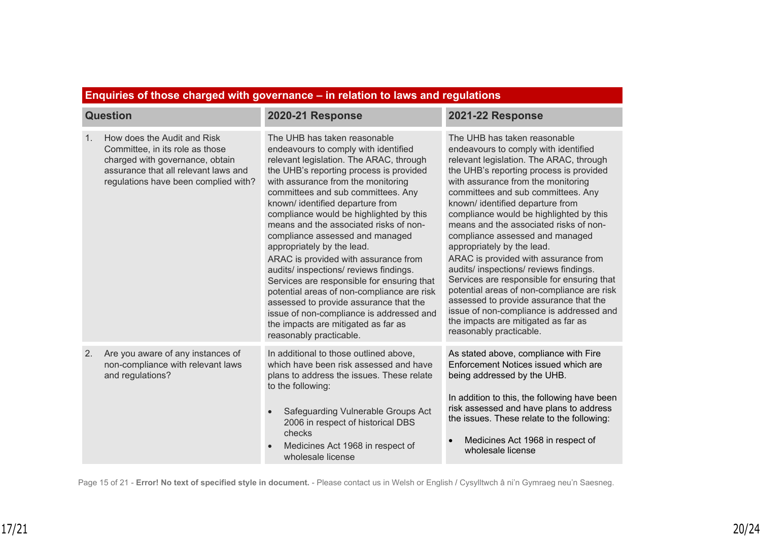| <b>Question</b> |                                                                                                                                                                                   | 2020-21 Response                                                                                                                                                                                                                                                                                                                                                                                                                                                                                                                                                                                                                                                                                                                                                       | <b>2021-22 Response</b>                                                                                                                                                                                                                                                                                                                                                                                                                                                                                                                                                                                                                                                                                                                                                |
|-----------------|-----------------------------------------------------------------------------------------------------------------------------------------------------------------------------------|------------------------------------------------------------------------------------------------------------------------------------------------------------------------------------------------------------------------------------------------------------------------------------------------------------------------------------------------------------------------------------------------------------------------------------------------------------------------------------------------------------------------------------------------------------------------------------------------------------------------------------------------------------------------------------------------------------------------------------------------------------------------|------------------------------------------------------------------------------------------------------------------------------------------------------------------------------------------------------------------------------------------------------------------------------------------------------------------------------------------------------------------------------------------------------------------------------------------------------------------------------------------------------------------------------------------------------------------------------------------------------------------------------------------------------------------------------------------------------------------------------------------------------------------------|
| 1.              | How does the Audit and Risk<br>Committee, in its role as those<br>charged with governance, obtain<br>assurance that all relevant laws and<br>regulations have been complied with? | The UHB has taken reasonable<br>endeavours to comply with identified<br>relevant legislation. The ARAC, through<br>the UHB's reporting process is provided<br>with assurance from the monitoring<br>committees and sub committees. Any<br>known/ identified departure from<br>compliance would be highlighted by this<br>means and the associated risks of non-<br>compliance assessed and managed<br>appropriately by the lead.<br>ARAC is provided with assurance from<br>audits/ inspections/ reviews findings.<br>Services are responsible for ensuring that<br>potential areas of non-compliance are risk<br>assessed to provide assurance that the<br>issue of non-compliance is addressed and<br>the impacts are mitigated as far as<br>reasonably practicable. | The UHB has taken reasonable<br>endeavours to comply with identified<br>relevant legislation. The ARAC, through<br>the UHB's reporting process is provided<br>with assurance from the monitoring<br>committees and sub committees. Any<br>known/ identified departure from<br>compliance would be highlighted by this<br>means and the associated risks of non-<br>compliance assessed and managed<br>appropriately by the lead.<br>ARAC is provided with assurance from<br>audits/ inspections/ reviews findings.<br>Services are responsible for ensuring that<br>potential areas of non-compliance are risk<br>assessed to provide assurance that the<br>issue of non-compliance is addressed and<br>the impacts are mitigated as far as<br>reasonably practicable. |
| 2.              | Are you aware of any instances of<br>non-compliance with relevant laws<br>and regulations?                                                                                        | In additional to those outlined above,<br>which have been risk assessed and have<br>plans to address the issues. These relate<br>to the following:<br>Safeguarding Vulnerable Groups Act<br>2006 in respect of historical DBS<br>checks                                                                                                                                                                                                                                                                                                                                                                                                                                                                                                                                | As stated above, compliance with Fire<br>Enforcement Notices issued which are<br>being addressed by the UHB.<br>In addition to this, the following have been<br>risk assessed and have plans to address<br>the issues. These relate to the following:<br>Medicines Act 1968 in respect of                                                                                                                                                                                                                                                                                                                                                                                                                                                                              |
|                 |                                                                                                                                                                                   | Medicines Act 1968 in respect of<br>wholesale license                                                                                                                                                                                                                                                                                                                                                                                                                                                                                                                                                                                                                                                                                                                  | wholesale license                                                                                                                                                                                                                                                                                                                                                                                                                                                                                                                                                                                                                                                                                                                                                      |

**Enquiries of those charged with governance – in relation to laws and regulations**

Page 15 of 21 - **Error! No text of specified style in document.** - Please contact us in Welsh or English / Cysylltwch â ni'n Gymraeg neu'n Saesneg.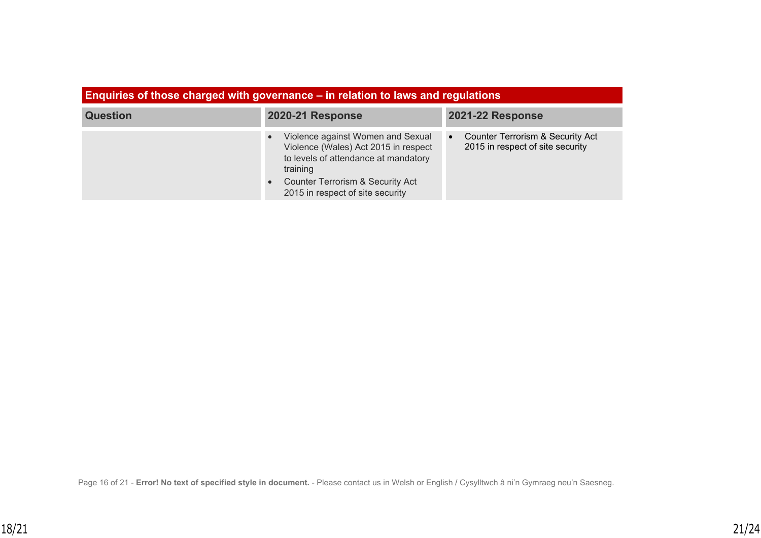| Enquiries of those charged with governance – in relation to laws and regulations |                                                                                                                                                                                                                                            |                                                                                              |  |
|----------------------------------------------------------------------------------|--------------------------------------------------------------------------------------------------------------------------------------------------------------------------------------------------------------------------------------------|----------------------------------------------------------------------------------------------|--|
| <b>Question</b>                                                                  | <b>2021-22 Response</b><br><b>2020-21 Response</b>                                                                                                                                                                                         |                                                                                              |  |
|                                                                                  | Violence against Women and Sexual<br>$\bullet$<br>Violence (Wales) Act 2015 in respect<br>to levels of attendance at mandatory<br>training<br><b>Counter Terrorism &amp; Security Act</b><br>$\bullet$<br>2015 in respect of site security | <b>Counter Terrorism &amp; Security Act</b><br>$\bullet$<br>2015 in respect of site security |  |

Page 16 of 21 - **Error! No text of specified style in document.** - Please contact us in Welsh or English / Cysylltwch â ni'n Gymraeg neu'n Saesneg.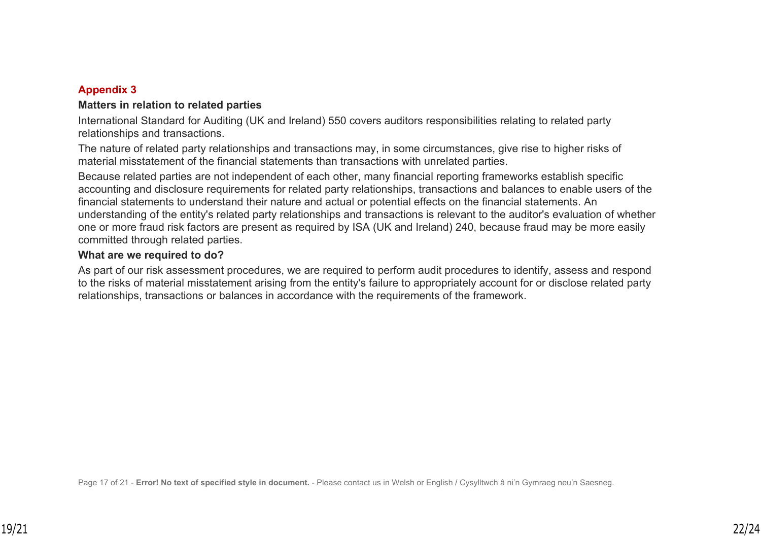#### **Appendix 3**

#### **Matters in relation to related parties**

International Standard for Auditing (UK and Ireland) 550 covers auditors responsibilities relating to related party relationships and transactions.

The nature of related party relationships and transactions may, in some circumstances, give rise to higher risks of material misstatement of the financial statements than transactions with unrelated parties.

Because related parties are not independent of each other, many financial reporting frameworks establish specific accounting and disclosure requirements for related party relationships, transactions and balances to enable users of the financial statements to understand their nature and actual or potential effects on the financial statements. An understanding of the entity's related party relationships and transactions is relevant to the auditor's evaluation of whether one or more fraud risk factors are present as required by ISA (UK and Ireland) 240, because fraud may be more easily committed through related parties.

#### **What are we required to do?**

As part of our risk assessment procedures, we are required to perform audit procedures to identify, assess and respond to the risks of material misstatement arising from the entity's failure to appropriately account for or disclose related party relationships, transactions or balances in accordance with the requirements of the framework.

Page 17 of 21 - **Error! No text of specified style in document.** - Please contact us in Welsh or English / Cysylltwch â ni'n Gymraeg neu'n Saesneg.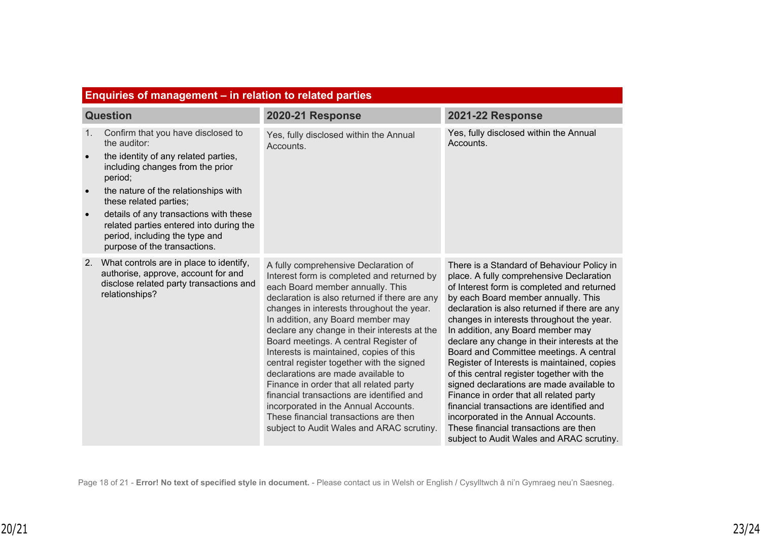|                                           | Enquiries of management – in relation to related parties                                                                                                                                                                                                                                                                                                           |                                                                                                                                                                                                                                                                                                                                                                                                                                                                                                                                                                                                                                                                                                        |                                                                                                                                                                                                                                                                                                                                                                                                                                                                                                                                                                                                                                                                                                                                                                           |  |  |
|-------------------------------------------|--------------------------------------------------------------------------------------------------------------------------------------------------------------------------------------------------------------------------------------------------------------------------------------------------------------------------------------------------------------------|--------------------------------------------------------------------------------------------------------------------------------------------------------------------------------------------------------------------------------------------------------------------------------------------------------------------------------------------------------------------------------------------------------------------------------------------------------------------------------------------------------------------------------------------------------------------------------------------------------------------------------------------------------------------------------------------------------|---------------------------------------------------------------------------------------------------------------------------------------------------------------------------------------------------------------------------------------------------------------------------------------------------------------------------------------------------------------------------------------------------------------------------------------------------------------------------------------------------------------------------------------------------------------------------------------------------------------------------------------------------------------------------------------------------------------------------------------------------------------------------|--|--|
| <b>Question</b>                           |                                                                                                                                                                                                                                                                                                                                                                    | <b>2020-21 Response</b>                                                                                                                                                                                                                                                                                                                                                                                                                                                                                                                                                                                                                                                                                | <b>2021-22 Response</b>                                                                                                                                                                                                                                                                                                                                                                                                                                                                                                                                                                                                                                                                                                                                                   |  |  |
| 1.<br>$\bullet$<br>$\bullet$<br>$\bullet$ | Confirm that you have disclosed to<br>the auditor:<br>the identity of any related parties,<br>including changes from the prior<br>period;<br>the nature of the relationships with<br>these related parties;<br>details of any transactions with these<br>related parties entered into during the<br>period, including the type and<br>purpose of the transactions. | Yes, fully disclosed within the Annual<br>Accounts.                                                                                                                                                                                                                                                                                                                                                                                                                                                                                                                                                                                                                                                    | Yes, fully disclosed within the Annual<br>Accounts.                                                                                                                                                                                                                                                                                                                                                                                                                                                                                                                                                                                                                                                                                                                       |  |  |
| 2.                                        | What controls are in place to identify,<br>authorise, approve, account for and<br>disclose related party transactions and<br>relationships?                                                                                                                                                                                                                        | A fully comprehensive Declaration of<br>Interest form is completed and returned by<br>each Board member annually. This<br>declaration is also returned if there are any<br>changes in interests throughout the year.<br>In addition, any Board member may<br>declare any change in their interests at the<br>Board meetings. A central Register of<br>Interests is maintained, copies of this<br>central register together with the signed<br>declarations are made available to<br>Finance in order that all related party<br>financial transactions are identified and<br>incorporated in the Annual Accounts.<br>These financial transactions are then<br>subject to Audit Wales and ARAC scrutiny. | There is a Standard of Behaviour Policy in<br>place. A fully comprehensive Declaration<br>of Interest form is completed and returned<br>by each Board member annually. This<br>declaration is also returned if there are any<br>changes in interests throughout the year.<br>In addition, any Board member may<br>declare any change in their interests at the<br>Board and Committee meetings. A central<br>Register of Interests is maintained, copies<br>of this central register together with the<br>signed declarations are made available to<br>Finance in order that all related party<br>financial transactions are identified and<br>incorporated in the Annual Accounts.<br>These financial transactions are then<br>subject to Audit Wales and ARAC scrutiny. |  |  |

#### **Enquiries of management – in relation to related parties**

Page 18 of 21 - **Error! No text of specified style in document.** - Please contact us in Welsh or English / Cysylltwch â ni'n Gymraeg neu'n Saesneg.